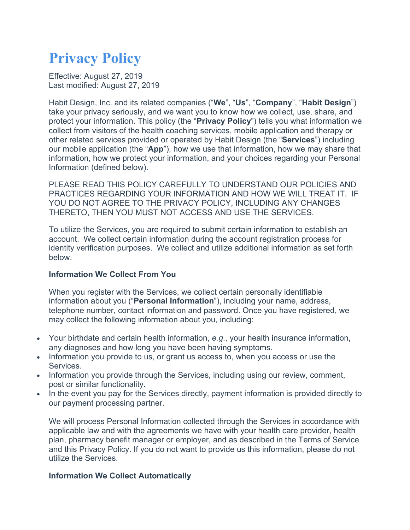# **Privacy Policy**

Effective: August 27, 2019 Last modified: August 27, 2019

Habit Design, Inc. and its related companies ("**We**", "**Us**", "**Company**", "**Habit Design**") take your privacy seriously, and we want you to know how we collect, use, share, and protect your information. This policy (the "**Privacy Policy**") tells you what information we collect from visitors of the health coaching services, mobile application and therapy or other related services provided or operated by Habit Design (the "**Services**") including our mobile application (the "**App**"), how we use that information, how we may share that information, how we protect your information, and your choices regarding your Personal Information (defined below).

PLEASE READ THIS POLICY CAREFULLY TO UNDERSTAND OUR POLICIES AND PRACTICES REGARDING YOUR INFORMATION AND HOW WE WILL TREAT IT. IF YOU DO NOT AGREE TO THE PRIVACY POLICY, INCLUDING ANY CHANGES THERETO, THEN YOU MUST NOT ACCESS AND USE THE SERVICES.

To utilize the Services, you are required to submit certain information to establish an account. We collect certain information during the account registration process for identity verification purposes. We collect and utilize additional information as set forth below.

## **Information We Collect From You**

When you register with the Services, we collect certain personally identifiable information about you ("**Personal Information**"), including your name, address, telephone number, contact information and password. Once you have registered, we may collect the following information about you, including:

- Your birthdate and certain health information, *e.g*., your health insurance information, any diagnoses and how long you have been having symptoms.
- Information you provide to us, or grant us access to, when you access or use the Services.
- Information you provide through the Services, including using our review, comment, post or similar functionality.
- In the event you pay for the Services directly, payment information is provided directly to our payment processing partner.

We will process Personal Information collected through the Services in accordance with applicable law and with the agreements we have with your health care provider, health plan, pharmacy benefit manager or employer, and as described in the Terms of Service and this Privacy Policy. If you do not want to provide us this information, please do not utilize the Services.

## **Information We Collect Automatically**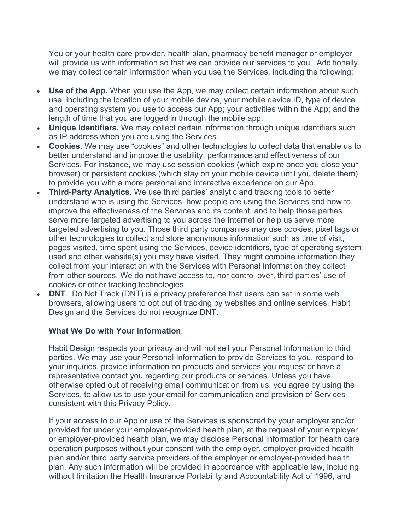You or your health care provider, health plan, pharmacy benefit manager or employer will provide us with information so that we can provide our services to you. Additionally, we may collect certain information when you use the Services, including the following:

- **Use of the App.** When you use the App, we may collect certain information about such use, including the location of your mobile device, your mobile device ID, type of device and operating system you use to access our App; your activities within the App; and the length of time that you are logged in through the mobile app.
- **Unique Identifiers.** We may collect certain information through unique identifiers such as IP address when you are using the Services.
- **Cookies.** We may use "cookies" and other technologies to collect data that enable us to better understand and improve the usability, performance and effectiveness of our Services. For instance, we may use session cookies (which expire once you close your browser) or persistent cookies (which stay on your mobile device until you delete them) to provide you with a more personal and interactive experience on our App.
- **Third-Party Analytics.** We use third parties' analytic and tracking tools to better understand who is using the Services, how people are using the Services and how to improve the effectiveness of the Services and its content, and to help those parties serve more targeted advertising to you across the Internet or help us serve more targeted advertising to you. Those third party companies may use cookies, pixel tags or other technologies to collect and store anonymous information such as time of visit, pages visited, time spent using the Services, device identifiers, type of operating system used and other website(s) you may have visited. They might combine information they collect from your interaction with the Services with Personal Information they collect from other sources. We do not have access to, nor control over, third parties' use of cookies or other tracking technologies.
- **DNT**. Do Not Track (DNT) is a privacy preference that users can set in some web browsers, allowing users to opt out of tracking by websites and online services. Habit Design and the Services do not recognize DNT.

## **What We Do with Your Information**.

Habit Design respects your privacy and will not sell your Personal Information to third parties. We may use your Personal Information to provide Services to you, respond to your inquiries, provide information on products and services you request or have a representative contact you regarding our products or services. Unless you have otherwise opted out of receiving email communication from us, you agree by using the Services, to allow us to use your email for communication and provision of Services consistent with this Privacy Policy.

If your access to our App or use of the Services is sponsored by your employer and/or provided for under your employer-provided health plan, at the request of your employer or employer-provided health plan, we may disclose Personal Information for health care operation purposes without your consent with the employer, employer-provided health plan and/or third party service providers of the employer or employer-provided health plan. Any such information will be provided in accordance with applicable law, including without limitation the Health Insurance Portability and Accountability Act of 1996, and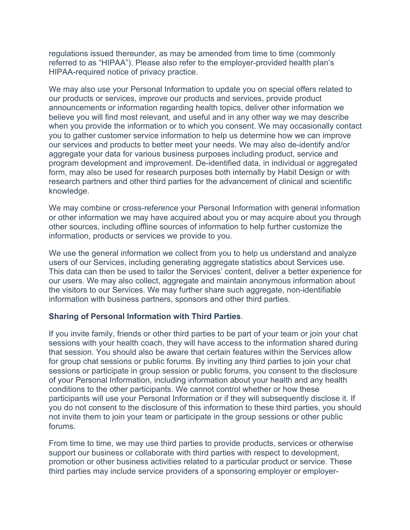regulations issued thereunder, as may be amended from time to time (commonly referred to as "HIPAA"). Please also refer to the employer-provided health plan's HIPAA-required notice of privacy practice.

We may also use your Personal Information to update you on special offers related to our products or services, improve our products and services, provide product announcements or information regarding health topics, deliver other information we believe you will find most relevant, and useful and in any other way we may describe when you provide the information or to which you consent. We may occasionally contact you to gather customer service information to help us determine how we can improve our services and products to better meet your needs. We may also de-identify and/or aggregate your data for various business purposes including product, service and program development and improvement. De-identified data, in individual or aggregated form, may also be used for research purposes both internally by Habit Design or with research partners and other third parties for the advancement of clinical and scientific knowledge.

We may combine or cross-reference your Personal Information with general information or other information we may have acquired about you or may acquire about you through other sources, including offline sources of information to help further customize the information, products or services we provide to you.

We use the general information we collect from you to help us understand and analyze users of our Services, including generating aggregate statistics about Services use. This data can then be used to tailor the Services' content, deliver a better experience for our users. We may also collect, aggregate and maintain anonymous information about the visitors to our Services. We may further share such aggregate, non-identifiable information with business partners, sponsors and other third parties.

## **Sharing of Personal Information with Third Parties**.

If you invite family, friends or other third parties to be part of your team or join your chat sessions with your health coach, they will have access to the information shared during that session. You should also be aware that certain features within the Services allow for group chat sessions or public forums. By inviting any third parties to join your chat sessions or participate in group session or public forums, you consent to the disclosure of your Personal Information, including information about your health and any health conditions to the other participants. We cannot control whether or how these participants will use your Personal Information or if they will subsequently disclose it. If you do not consent to the disclosure of this information to these third parties, you should not invite them to join your team or participate in the group sessions or other public forums.

From time to time, we may use third parties to provide products, services or otherwise support our business or collaborate with third parties with respect to development, promotion or other business activities related to a particular product or service. These third parties may include service providers of a sponsoring employer or employer-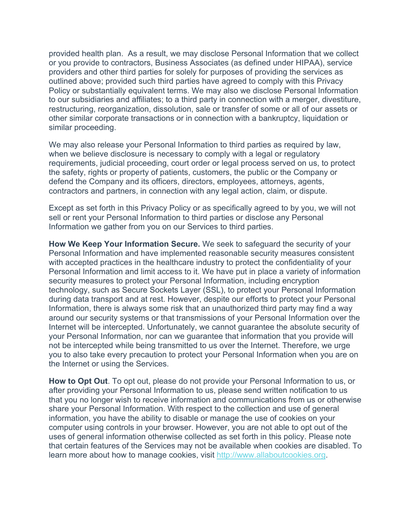provided health plan. As a result, we may disclose Personal Information that we collect or you provide to contractors, Business Associates (as defined under HIPAA), service providers and other third parties for solely for purposes of providing the services as outlined above; provided such third parties have agreed to comply with this Privacy Policy or substantially equivalent terms. We may also we disclose Personal Information to our subsidiaries and affiliates; to a third party in connection with a merger, divestiture, restructuring, reorganization, dissolution, sale or transfer of some or all of our assets or other similar corporate transactions or in connection with a bankruptcy, liquidation or similar proceeding.

We may also release your Personal Information to third parties as required by law, when we believe disclosure is necessary to comply with a legal or regulatory requirements, judicial proceeding, court order or legal process served on us, to protect the safety, rights or property of patients, customers, the public or the Company or defend the Company and its officers, directors, employees, attorneys, agents, contractors and partners, in connection with any legal action, claim, or dispute.

Except as set forth in this Privacy Policy or as specifically agreed to by you, we will not sell or rent your Personal Information to third parties or disclose any Personal Information we gather from you on our Services to third parties.

**How We Keep Your Information Secure.** We seek to safeguard the security of your Personal Information and have implemented reasonable security measures consistent with accepted practices in the healthcare industry to protect the confidentiality of your Personal Information and limit access to it. We have put in place a variety of information security measures to protect your Personal Information, including encryption technology, such as Secure Sockets Layer (SSL), to protect your Personal Information during data transport and at rest. However, despite our efforts to protect your Personal Information, there is always some risk that an unauthorized third party may find a way around our security systems or that transmissions of your Personal Information over the Internet will be intercepted. Unfortunately, we cannot guarantee the absolute security of your Personal Information, nor can we guarantee that information that you provide will not be intercepted while being transmitted to us over the Internet. Therefore, we urge you to also take every precaution to protect your Personal Information when you are on the Internet or using the Services.

**How to Opt Out**. To opt out, please do not provide your Personal Information to us, or after providing your Personal Information to us, please send written notification to us that you no longer wish to receive information and communications from us or otherwise share your Personal Information. With respect to the collection and use of general information, you have the ability to disable or manage the use of cookies on your computer using controls in your browser. However, you are not able to opt out of the uses of general information otherwise collected as set forth in this policy. Please note that certain features of the Services may not be available when cookies are disabled. To learn more about how to manage cookies, visit http://www.allaboutcookies.org.